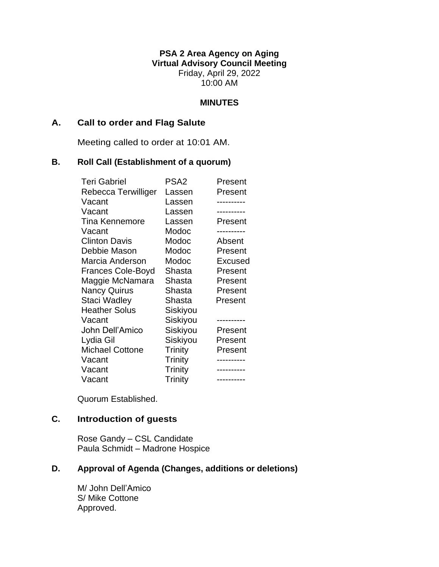**PSA 2 Area Agency on Aging Virtual Advisory Council Meeting** Friday, April 29, 2022 10:00 AM

### **MINUTES**

### **A. Call to order and Flag Salute**

Meeting called to order at 10:01 AM.

### **B. Roll Call (Establishment of a quorum)**

| <b>Teri Gabriel</b>      | PSA2           | Present        |
|--------------------------|----------------|----------------|
| Rebecca Terwilliger      | Lassen         | Present        |
| Vacant                   | Lassen         |                |
| Vacant                   | Lassen         |                |
| <b>Tina Kennemore</b>    | Lassen         | Present        |
| Vacant                   | Modoc          |                |
| <b>Clinton Davis</b>     | Modoc          | Absent         |
| Debbie Mason             | Modoc          | Present        |
| Marcia Anderson          | Modoc          | <b>Excused</b> |
| <b>Frances Cole-Boyd</b> | Shasta         | Present        |
| Maggie McNamara          | Shasta         | Present        |
| <b>Nancy Quirus</b>      | Shasta         | Present        |
| Staci Wadley             | Shasta         | Present        |
| <b>Heather Solus</b>     | Siskiyou       |                |
| Vacant                   | Siskiyou       |                |
| John Dell'Amico          | Siskiyou       | Present        |
| Lydia Gil                | Siskiyou       | Present        |
| <b>Michael Cottone</b>   | Trinity        | Present        |
| Vacant                   | <b>Trinity</b> |                |
| Vacant                   | Trinity        |                |
| Vacant                   | Trinity        | ----------     |

Quorum Established.

# **C. Introduction of guests**

Rose Gandy – CSL Candidate Paula Schmidt – Madrone Hospice

# **D. Approval of Agenda (Changes, additions or deletions)**

M/ John Dell'Amico S/ Mike Cottone Approved.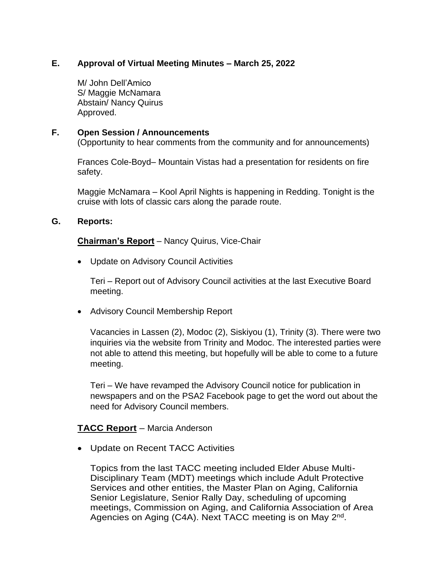# **E. Approval of Virtual Meeting Minutes – March 25, 2022**

M/ John Dell'Amico S/ Maggie McNamara Abstain/ Nancy Quirus Approved.

# **F. Open Session / Announcements**

(Opportunity to hear comments from the community and for announcements)

Frances Cole-Boyd– Mountain Vistas had a presentation for residents on fire safety.

Maggie McNamara – Kool April Nights is happening in Redding. Tonight is the cruise with lots of classic cars along the parade route.

# **G. Reports:**

**Chairman's Report** – Nancy Quirus, Vice-Chair

• Update on Advisory Council Activities

Teri – Report out of Advisory Council activities at the last Executive Board meeting.

• Advisory Council Membership Report

Vacancies in Lassen (2), Modoc (2), Siskiyou (1), Trinity (3). There were two inquiries via the website from Trinity and Modoc. The interested parties were not able to attend this meeting, but hopefully will be able to come to a future meeting.

Teri – We have revamped the Advisory Council notice for publication in newspapers and on the PSA2 Facebook page to get the word out about the need for Advisory Council members.

# **TACC Report** – Marcia Anderson

• Update on Recent TACC Activities

Topics from the last TACC meeting included Elder Abuse Multi-Disciplinary Team (MDT) meetings which include Adult Protective Services and other entities, the Master Plan on Aging, California Senior Legislature, Senior Rally Day, scheduling of upcoming meetings, Commission on Aging, and California Association of Area Agencies on Aging (C4A). Next TACC meeting is on May 2<sup>nd</sup>.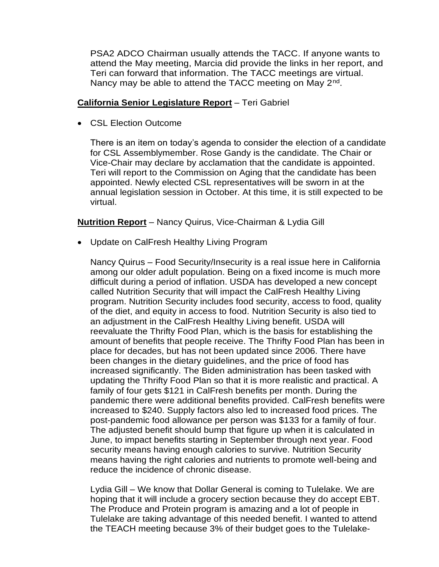PSA2 ADCO Chairman usually attends the TACC. If anyone wants to attend the May meeting, Marcia did provide the links in her report, and Teri can forward that information. The TACC meetings are virtual. Nancy may be able to attend the TACC meeting on May 2<sup>nd</sup>.

### **California Senior Legislature Report** – Teri Gabriel

• CSL Election Outcome

There is an item on today's agenda to consider the election of a candidate for CSL Assemblymember. Rose Gandy is the candidate. The Chair or Vice-Chair may declare by acclamation that the candidate is appointed. Teri will report to the Commission on Aging that the candidate has been appointed. Newly elected CSL representatives will be sworn in at the annual legislation session in October. At this time, it is still expected to be virtual.

# **Nutrition Report** – Nancy Quirus, Vice-Chairman & Lydia Gill

• Update on CalFresh Healthy Living Program

Nancy Quirus – Food Security/Insecurity is a real issue here in California among our older adult population. Being on a fixed income is much more difficult during a period of inflation. USDA has developed a new concept called Nutrition Security that will impact the CalFresh Healthy Living program. Nutrition Security includes food security, access to food, quality of the diet, and equity in access to food. Nutrition Security is also tied to an adjustment in the CalFresh Healthy Living benefit. USDA will reevaluate the Thrifty Food Plan, which is the basis for establishing the amount of benefits that people receive. The Thrifty Food Plan has been in place for decades, but has not been updated since 2006. There have been changes in the dietary guidelines, and the price of food has increased significantly. The Biden administration has been tasked with updating the Thrifty Food Plan so that it is more realistic and practical. A family of four gets \$121 in CalFresh benefits per month. During the pandemic there were additional benefits provided. CalFresh benefits were increased to \$240. Supply factors also led to increased food prices. The post-pandemic food allowance per person was \$133 for a family of four. The adjusted benefit should bump that figure up when it is calculated in June, to impact benefits starting in September through next year. Food security means having enough calories to survive. Nutrition Security means having the right calories and nutrients to promote well-being and reduce the incidence of chronic disease.

Lydia Gill – We know that Dollar General is coming to Tulelake. We are hoping that it will include a grocery section because they do accept EBT. The Produce and Protein program is amazing and a lot of people in Tulelake are taking advantage of this needed benefit. I wanted to attend the TEACH meeting because 3% of their budget goes to the Tulelake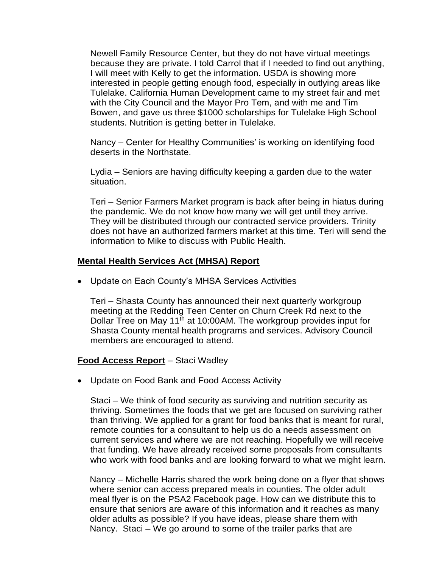Newell Family Resource Center, but they do not have virtual meetings because they are private. I told Carrol that if I needed to find out anything, I will meet with Kelly to get the information. USDA is showing more interested in people getting enough food, especially in outlying areas like Tulelake. California Human Development came to my street fair and met with the City Council and the Mayor Pro Tem, and with me and Tim Bowen, and gave us three \$1000 scholarships for Tulelake High School students. Nutrition is getting better in Tulelake.

Nancy – Center for Healthy Communities' is working on identifying food deserts in the Northstate.

Lydia – Seniors are having difficulty keeping a garden due to the water situation.

Teri – Senior Farmers Market program is back after being in hiatus during the pandemic. We do not know how many we will get until they arrive. They will be distributed through our contracted service providers. Trinity does not have an authorized farmers market at this time. Teri will send the information to Mike to discuss with Public Health.

#### **Mental Health Services Act (MHSA) Report**

• Update on Each County's MHSA Services Activities

Teri – Shasta County has announced their next quarterly workgroup meeting at the Redding Teen Center on Churn Creek Rd next to the Dollar Tree on May 11<sup>th</sup> at 10:00AM. The workgroup provides input for Shasta County mental health programs and services. Advisory Council members are encouraged to attend.

# **Food Access Report** – Staci Wadley

• Update on Food Bank and Food Access Activity

Staci – We think of food security as surviving and nutrition security as thriving. Sometimes the foods that we get are focused on surviving rather than thriving. We applied for a grant for food banks that is meant for rural, remote counties for a consultant to help us do a needs assessment on current services and where we are not reaching. Hopefully we will receive that funding. We have already received some proposals from consultants who work with food banks and are looking forward to what we might learn.

Nancy – Michelle Harris shared the work being done on a flyer that shows where senior can access prepared meals in counties. The older adult meal flyer is on the PSA2 Facebook page. How can we distribute this to ensure that seniors are aware of this information and it reaches as many older adults as possible? If you have ideas, please share them with Nancy. Staci – We go around to some of the trailer parks that are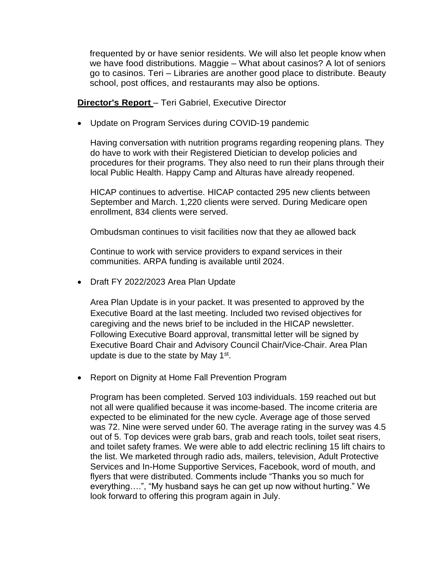frequented by or have senior residents. We will also let people know when we have food distributions. Maggie – What about casinos? A lot of seniors go to casinos. Teri – Libraries are another good place to distribute. Beauty school, post offices, and restaurants may also be options.

### **Director's Report** – Teri Gabriel, Executive Director

• Update on Program Services during COVID-19 pandemic

Having conversation with nutrition programs regarding reopening plans. They do have to work with their Registered Dietician to develop policies and procedures for their programs. They also need to run their plans through their local Public Health. Happy Camp and Alturas have already reopened.

HICAP continues to advertise. HICAP contacted 295 new clients between September and March. 1,220 clients were served. During Medicare open enrollment, 834 clients were served.

Ombudsman continues to visit facilities now that they ae allowed back

Continue to work with service providers to expand services in their communities. ARPA funding is available until 2024.

• Draft FY 2022/2023 Area Plan Update

Area Plan Update is in your packet. It was presented to approved by the Executive Board at the last meeting. Included two revised objectives for caregiving and the news brief to be included in the HICAP newsletter. Following Executive Board approval, transmittal letter will be signed by Executive Board Chair and Advisory Council Chair/Vice-Chair. Area Plan update is due to the state by May  $1<sup>st</sup>$ .

• Report on Dignity at Home Fall Prevention Program

Program has been completed. Served 103 individuals. 159 reached out but not all were qualified because it was income-based. The income criteria are expected to be eliminated for the new cycle. Average age of those served was 72. Nine were served under 60. The average rating in the survey was 4.5 out of 5. Top devices were grab bars, grab and reach tools, toilet seat risers, and toilet safety frames. We were able to add electric reclining 15 lift chairs to the list. We marketed through radio ads, mailers, television, Adult Protective Services and In-Home Supportive Services, Facebook, word of mouth, and flyers that were distributed. Comments include "Thanks you so much for everything….", "My husband says he can get up now without hurting." We look forward to offering this program again in July.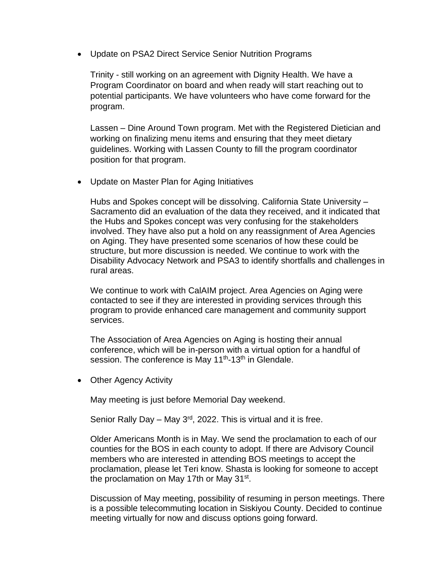• Update on PSA2 Direct Service Senior Nutrition Programs

Trinity - still working on an agreement with Dignity Health. We have a Program Coordinator on board and when ready will start reaching out to potential participants. We have volunteers who have come forward for the program.

Lassen – Dine Around Town program. Met with the Registered Dietician and working on finalizing menu items and ensuring that they meet dietary guidelines. Working with Lassen County to fill the program coordinator position for that program.

• Update on Master Plan for Aging Initiatives

Hubs and Spokes concept will be dissolving. California State University – Sacramento did an evaluation of the data they received, and it indicated that the Hubs and Spokes concept was very confusing for the stakeholders involved. They have also put a hold on any reassignment of Area Agencies on Aging. They have presented some scenarios of how these could be structure, but more discussion is needed. We continue to work with the Disability Advocacy Network and PSA3 to identify shortfalls and challenges in rural areas.

We continue to work with CalAIM project. Area Agencies on Aging were contacted to see if they are interested in providing services through this program to provide enhanced care management and community support services.

The Association of Area Agencies on Aging is hosting their annual conference, which will be in-person with a virtual option for a handful of session. The conference is May 11<sup>th</sup>-13<sup>th</sup> in Glendale.

• Other Agency Activity

May meeting is just before Memorial Day weekend.

Senior Rally Day – May  $3<sup>rd</sup>$ , 2022. This is virtual and it is free.

Older Americans Month is in May. We send the proclamation to each of our counties for the BOS in each county to adopt. If there are Advisory Council members who are interested in attending BOS meetings to accept the proclamation, please let Teri know. Shasta is looking for someone to accept the proclamation on May 17th or May 31<sup>st</sup>.

Discussion of May meeting, possibility of resuming in person meetings. There is a possible telecommuting location in Siskiyou County. Decided to continue meeting virtually for now and discuss options going forward.